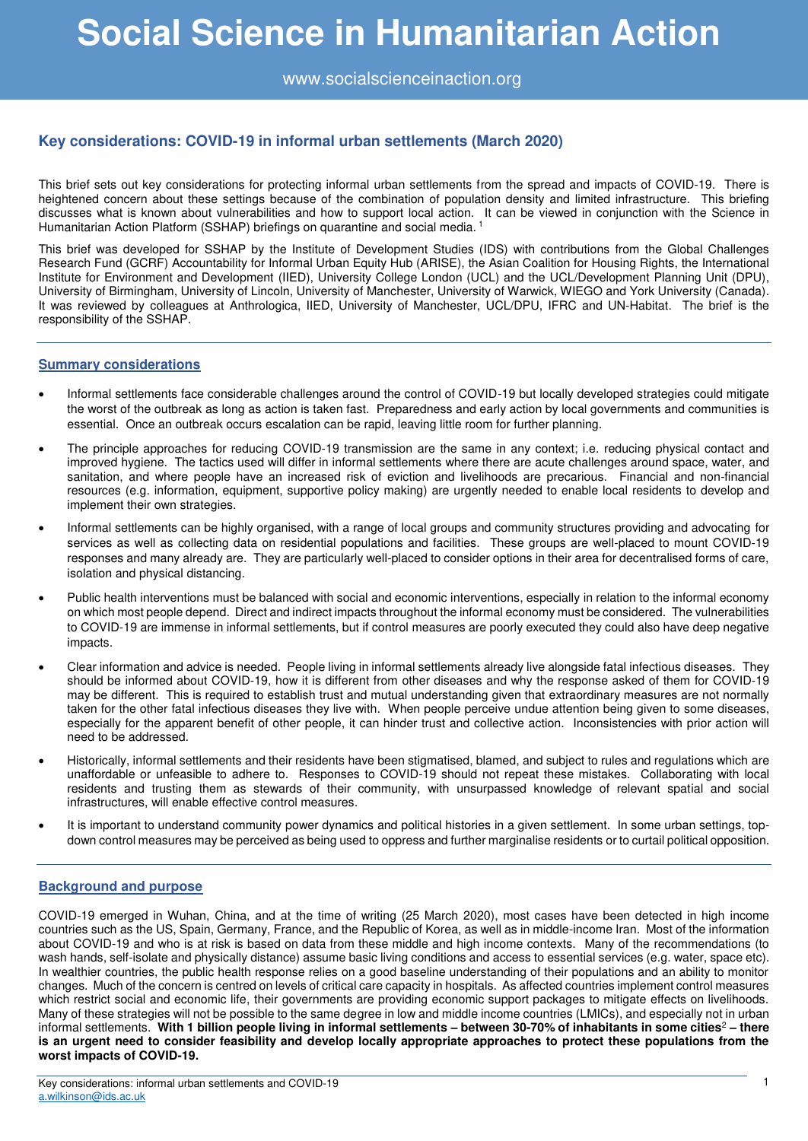www.socialscienceinaction.org

# **Key considerations: COVID-19 in informal urban settlements (March 2020)**

This brief sets out key considerations for protecting informal urban settlements from the spread and impacts of COVID-19. There is heightened concern about these settings because of the combination of population density and limited infrastructure. This briefing discusses what is known about vulnerabilities and how to support local action. It can be viewed in conjunction with the Science in Humanitarian Action Platform (SSHAP) briefings on quarantine and social media.<sup>1</sup>

This brief was developed for SSHAP by the Institute of Development Studies (IDS) with contributions from the Global Challenges Research Fund (GCRF) Accountability for Informal Urban Equity Hub (ARISE), the Asian Coalition for Housing Rights, the International Institute for Environment and Development (IIED), University College London (UCL) and the UCL/Development Planning Unit (DPU), University of Birmingham, University of Lincoln, University of Manchester, University of Warwick, WIEGO and York University (Canada). It was reviewed by colleagues at Anthrologica, IIED, University of Manchester, UCL/DPU, IFRC and UN-Habitat. The brief is the responsibility of the SSHAP.

# **Summary considerations**

- Informal settlements face considerable challenges around the control of COVID-19 but locally developed strategies could mitigate the worst of the outbreak as long as action is taken fast. Preparedness and early action by local governments and communities is essential. Once an outbreak occurs escalation can be rapid, leaving little room for further planning.
- The principle approaches for reducing COVID-19 transmission are the same in any context; i.e. reducing physical contact and improved hygiene. The tactics used will differ in informal settlements where there are acute challenges around space, water, and sanitation, and where people have an increased risk of eviction and livelihoods are precarious. Financial and non-financial resources (e.g. information, equipment, supportive policy making) are urgently needed to enable local residents to develop and implement their own strategies.
- Informal settlements can be highly organised, with a range of local groups and community structures providing and advocating for services as well as collecting data on residential populations and facilities. These groups are well-placed to mount COVID-19 responses and many already are. They are particularly well-placed to consider options in their area for decentralised forms of care, isolation and physical distancing.
- Public health interventions must be balanced with social and economic interventions, especially in relation to the informal economy on which most people depend. Direct and indirect impacts throughout the informal economy must be considered. The vulnerabilities to COVID-19 are immense in informal settlements, but if control measures are poorly executed they could also have deep negative impacts.
- Clear information and advice is needed. People living in informal settlements already live alongside fatal infectious diseases. They should be informed about COVID-19, how it is different from other diseases and why the response asked of them for COVID-19 may be different. This is required to establish trust and mutual understanding given that extraordinary measures are not normally taken for the other fatal infectious diseases they live with. When people perceive undue attention being given to some diseases, especially for the apparent benefit of other people, it can hinder trust and collective action. Inconsistencies with prior action will need to be addressed.
- Historically, informal settlements and their residents have been stigmatised, blamed, and subject to rules and regulations which are unaffordable or unfeasible to adhere to. Responses to COVID-19 should not repeat these mistakes. Collaborating with local residents and trusting them as stewards of their community, with unsurpassed knowledge of relevant spatial and social infrastructures, will enable effective control measures.
- It is important to understand community power dynamics and political histories in a given settlement. In some urban settings, topdown control measures may be perceived as being used to oppress and further marginalise residents or to curtail political opposition.

# **Background and purpose**

COVID-19 emerged in Wuhan, China, and at the time of writing (25 March 2020), most cases have been detected in high income countries such as the US, Spain, Germany, France, and the Republic of Korea, as well as in middle-income Iran. Most of the information about COVID-19 and who is at risk is based on data from these middle and high income contexts. Many of the recommendations (to wash hands, self-isolate and physically distance) assume basic living conditions and access to essential services (e.g. water, space etc). In wealthier countries, the public health response relies on a good baseline understanding of their populations and an ability to monitor changes. Much of the concern is centred on levels of critical care capacity in hospitals. As affected countries implement control measures which restrict social and economic life, their governments are providing economic support packages to mitigate effects on livelihoods. Many of these strategies will not be possible to the same degree in low and middle income countries (LMICs), and especially not in urban informal settlements. **With 1 billion people living in informal settlements – between 30-70% of inhabitants in some cities**<sup>2</sup> **– there is an urgent need to consider feasibility and develop locally appropriate approaches to protect these populations from the worst impacts of COVID-19.**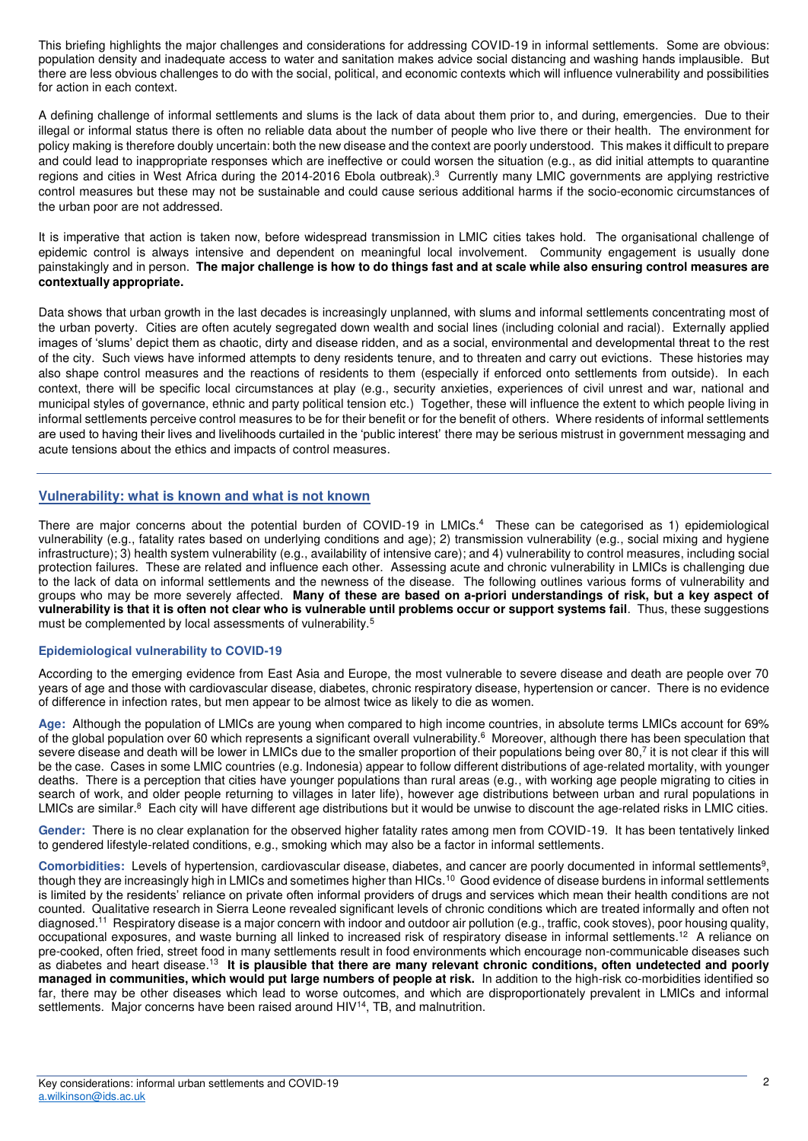This briefing highlights the major challenges and considerations for addressing COVID-19 in informal settlements. Some are obvious: population density and inadequate access to water and sanitation makes advice social distancing and washing hands implausible. But there are less obvious challenges to do with the social, political, and economic contexts which will influence vulnerability and possibilities for action in each context.

A defining challenge of informal settlements and slums is the lack of data about them prior to, and during, emergencies. Due to their illegal or informal status there is often no reliable data about the number of people who live there or their health. The environment for policy making is therefore doubly uncertain: both the new disease and the context are poorly understood. This makes it difficult to prepare and could lead to inappropriate responses which are ineffective or could worsen the situation (e.g., as did initial attempts to quarantine regions and cities in West Africa during the 2014-2016 Ebola outbreak).<sup>3</sup> Currently many LMIC governments are applying restrictive control measures but these may not be sustainable and could cause serious additional harms if the socio-economic circumstances of the urban poor are not addressed.

It is imperative that action is taken now, before widespread transmission in LMIC cities takes hold. The organisational challenge of epidemic control is always intensive and dependent on meaningful local involvement. Community engagement is usually done painstakingly and in person. **The major challenge is how to do things fast and at scale while also ensuring control measures are contextually appropriate.** 

Data shows that urban growth in the last decades is increasingly unplanned, with slums and informal settlements concentrating most of the urban poverty. Cities are often acutely segregated down wealth and social lines (including colonial and racial). Externally applied images of 'slums' depict them as chaotic, dirty and disease ridden, and as a social, environmental and developmental threat to the rest of the city. Such views have informed attempts to deny residents tenure, and to threaten and carry out evictions. These histories may also shape control measures and the reactions of residents to them (especially if enforced onto settlements from outside). In each context, there will be specific local circumstances at play (e.g., security anxieties, experiences of civil unrest and war, national and municipal styles of governance, ethnic and party political tension etc.) Together, these will influence the extent to which people living in informal settlements perceive control measures to be for their benefit or for the benefit of others. Where residents of informal settlements are used to having their lives and livelihoods curtailed in the 'public interest' there may be serious mistrust in government messaging and acute tensions about the ethics and impacts of control measures.

# **Vulnerability: what is known and what is not known**

There are major concerns about the potential burden of COVID-19 in LMICs.<sup>4</sup> These can be categorised as 1) epidemiological vulnerability (e.g., fatality rates based on underlying conditions and age); 2) transmission vulnerability (e.g., social mixing and hygiene infrastructure); 3) health system vulnerability (e.g., availability of intensive care); and 4) vulnerability to control measures, including social protection failures. These are related and influence each other. Assessing acute and chronic vulnerability in LMICs is challenging due to the lack of data on informal settlements and the newness of the disease. The following outlines various forms of vulnerability and groups who may be more severely affected. **Many of these are based on a-priori understandings of risk, but a key aspect of vulnerability is that it is often not clear who is vulnerable until problems occur or support systems fail**. Thus, these suggestions must be complemented by local assessments of vulnerability.<sup>5</sup>

### **Epidemiological vulnerability to COVID-19**

According to the emerging evidence from East Asia and Europe, the most vulnerable to severe disease and death are people over 70 years of age and those with cardiovascular disease, diabetes, chronic respiratory disease, hypertension or cancer. There is no evidence of difference in infection rates, but men appear to be almost twice as likely to die as women.

**Age:** Although the population of LMICs are young when compared to high income countries, in absolute terms LMICs account for 69% of the global population over 60 which represents a significant overall vulnerability.<sup>6</sup> Moreover, although there has been speculation that severe disease and death will be lower in LMICs due to the smaller proportion of their populations being over 80,<sup>7</sup> it is not clear if this will be the case. Cases in some LMIC countries (e.g. Indonesia) appear to follow different distributions of age-related mortality, with younger deaths. There is a perception that cities have younger populations than rural areas (e.g., with working age people migrating to cities in search of work, and older people returning to villages in later life), however age distributions between urban and rural populations in LMICs are similar.<sup>8</sup> Each city will have different age distributions but it would be unwise to discount the age-related risks in LMIC cities.

**Gender:** There is no clear explanation for the observed higher fatality rates among men from COVID-19. It has been tentatively linked to gendered lifestyle-related conditions, e.g., smoking which may also be a factor in informal settlements.

Comorbidities: Levels of hypertension, cardiovascular disease, diabetes, and cancer are poorly documented in informal settlements<sup>9</sup>, though they are increasingly high in LMICs and sometimes higher than HICs.<sup>10</sup> Good evidence of disease burdens in informal settlements is limited by the residents' reliance on private often informal providers of drugs and services which mean their health conditions are not counted. Qualitative research in Sierra Leone revealed significant levels of chronic conditions which are treated informally and often not diagnosed.<sup>11</sup> Respiratory disease is a major concern with indoor and outdoor air pollution (e.g., traffic, cook stoves), poor housing quality, occupational exposures, and waste burning all linked to increased risk of respiratory disease in informal settlements.<sup>12</sup> A reliance on pre-cooked, often fried, street food in many settlements result in food environments which encourage non-communicable diseases such as diabetes and heart disease.<sup>13</sup> It i**s plausible that there are many relevant chronic conditions, often undetected and poorly managed in communities, which would put large numbers of people at risk.** In addition to the high-risk co-morbidities identified so far, there may be other diseases which lead to worse outcomes, and which are disproportionately prevalent in LMICs and informal settlements. Major concerns have been raised around  $H/V^{14}$ , TB, and malnutrition.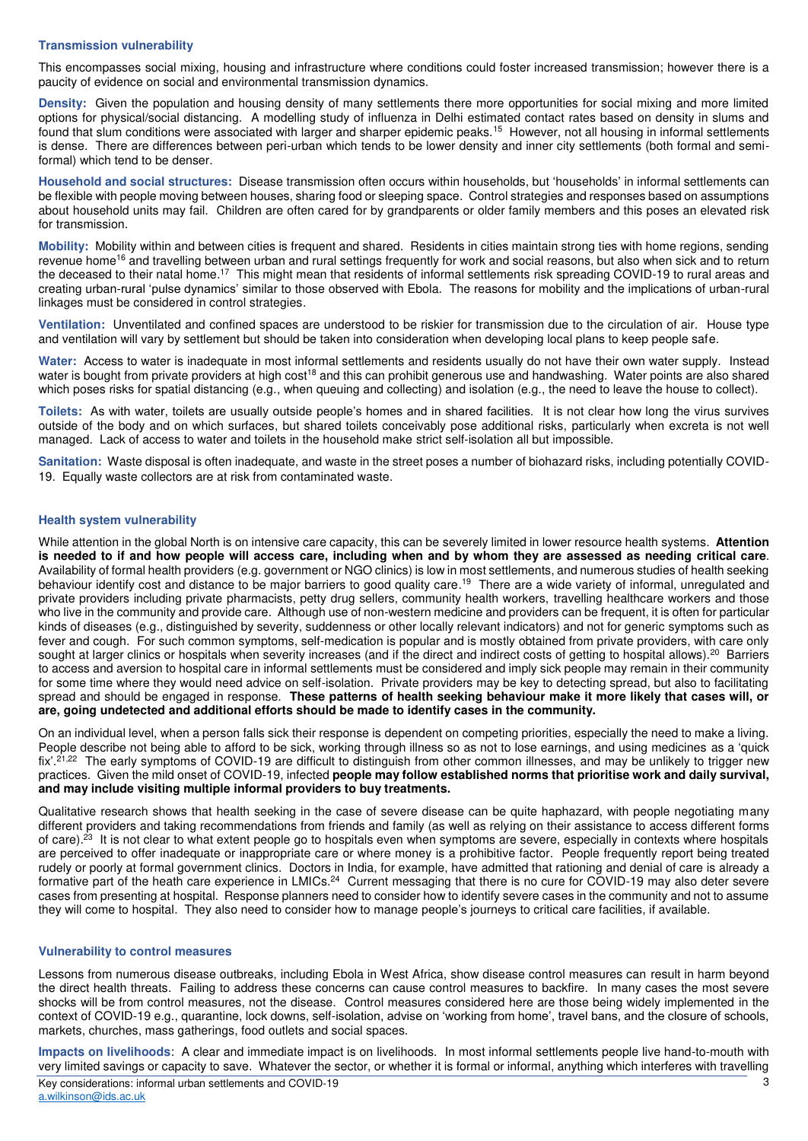### **Transmission vulnerability**

This encompasses social mixing, housing and infrastructure where conditions could foster increased transmission; however there is a paucity of evidence on social and environmental transmission dynamics.

**Density:** Given the population and housing density of many settlements there more opportunities for social mixing and more limited options for physical/social distancing. A modelling study of influenza in Delhi estimated contact rates based on density in slums and found that slum conditions were associated with larger and sharper epidemic peaks.<sup>15</sup> However, not all housing in informal settlements is dense. There are differences between peri-urban which tends to be lower density and inner city settlements (both formal and semiformal) which tend to be denser.

**Household and social structures:** Disease transmission often occurs within households, but 'households' in informal settlements can be flexible with people moving between houses, sharing food or sleeping space. Control strategies and responses based on assumptions about household units may fail. Children are often cared for by grandparents or older family members and this poses an elevated risk for transmission.

**Mobility:** Mobility within and between cities is frequent and shared. Residents in cities maintain strong ties with home regions, sending revenue home<sup>16</sup> and travelling between urban and rural settings frequently for work and social reasons, but also when sick and to return the deceased to their natal home.<sup>17</sup> This might mean that residents of informal settlements risk spreading COVID-19 to rural areas and creating urban-rural 'pulse dynamics' similar to those observed with Ebola. The reasons for mobility and the implications of urban-rural linkages must be considered in control strategies.

**Ventilation:** Unventilated and confined spaces are understood to be riskier for transmission due to the circulation of air. House type and ventilation will vary by settlement but should be taken into consideration when developing local plans to keep people safe.

**Water:** Access to water is inadequate in most informal settlements and residents usually do not have their own water supply. Instead water is bought from private providers at high cost<sup>18</sup> and this can prohibit generous use and handwashing. Water points are also shared which poses risks for spatial distancing (e.g., when queuing and collecting) and isolation (e.g., the need to leave the house to collect).

**Toilets:** As with water, toilets are usually outside people's homes and in shared facilities. It is not clear how long the virus survives outside of the body and on which surfaces, but shared toilets conceivably pose additional risks, particularly when excreta is not well managed. Lack of access to water and toilets in the household make strict self-isolation all but impossible.

**Sanitation:** Waste disposal is often inadequate, and waste in the street poses a number of biohazard risks, including potentially COVID-19. Equally waste collectors are at risk from contaminated waste.

### **Health system vulnerability**

While attention in the global North is on intensive care capacity, this can be severely limited in lower resource health systems. **Attention is needed to if and how people will access care, including when and by whom they are assessed as needing critical care**. Availability of formal health providers (e.g. government or NGO clinics) is low in most settlements, and numerous studies of health seeking behaviour identify cost and distance to be major barriers to good quality care.<sup>19</sup> There are a wide variety of informal, unregulated and private providers including private pharmacists, petty drug sellers, community health workers, travelling healthcare workers and those who live in the community and provide care. Although use of non-western medicine and providers can be frequent, it is often for particular kinds of diseases (e.g., distinguished by severity, suddenness or other locally relevant indicators) and not for generic symptoms such as fever and cough. For such common symptoms, self-medication is popular and is mostly obtained from private providers, with care only sought at larger clinics or hospitals when severity increases (and if the direct and indirect costs of getting to hospital allows).<sup>20</sup> Barriers to access and aversion to hospital care in informal settlements must be considered and imply sick people may remain in their community for some time where they would need advice on self-isolation. Private providers may be key to detecting spread, but also to facilitating spread and should be engaged in response. **These patterns of health seeking behaviour make it more likely that cases will, or are, going undetected and additional efforts should be made to identify cases in the community.** 

On an individual level, when a person falls sick their response is dependent on competing priorities, especially the need to make a living. People describe not being able to afford to be sick, working through illness so as not to lose earnings, and using medicines as a 'quick fix'.<sup>21,22</sup> The early symptoms of COVID-19 are difficult to distinguish from other common illnesses, and may be unlikely to trigger new practices. Given the mild onset of COVID-19, infected **people may follow established norms that prioritise work and daily survival, and may include visiting multiple informal providers to buy treatments.** 

Qualitative research shows that health seeking in the case of severe disease can be quite haphazard, with people negotiating many different providers and taking recommendations from friends and family (as well as relying on their assistance to access different forms of care).<sup>23</sup> It is not clear to what extent people go to hospitals even when symptoms are severe, especially in contexts where hospitals are perceived to offer inadequate or inappropriate care or where money is a prohibitive factor. People frequently report being treated rudely or poorly at formal government clinics. Doctors in India, for example, have admitted that rationing and denial of care is already a formative part of the heath care experience in LMICs.<sup>24</sup> Current messaging that there is no cure for COVID-19 may also deter severe cases from presenting at hospital. Response planners need to consider how to identify severe cases in the community and not to assume they will come to hospital. They also need to consider how to manage people's journeys to critical care facilities, if available.

#### **Vulnerability to control measures**

Lessons from numerous disease outbreaks, including Ebola in West Africa, show disease control measures can result in harm beyond the direct health threats. Failing to address these concerns can cause control measures to backfire. In many cases the most severe shocks will be from control measures, not the disease. Control measures considered here are those being widely implemented in the context of COVID-19 e.g., quarantine, lock downs, self-isolation, advise on 'working from home', travel bans, and the closure of schools, markets, churches, mass gatherings, food outlets and social spaces.

**Impacts on livelihoods**: A clear and immediate impact is on livelihoods. In most informal settlements people live hand-to-mouth with very limited savings or capacity to save. Whatever the sector, or whether it is formal or informal, anything which interferes with travelling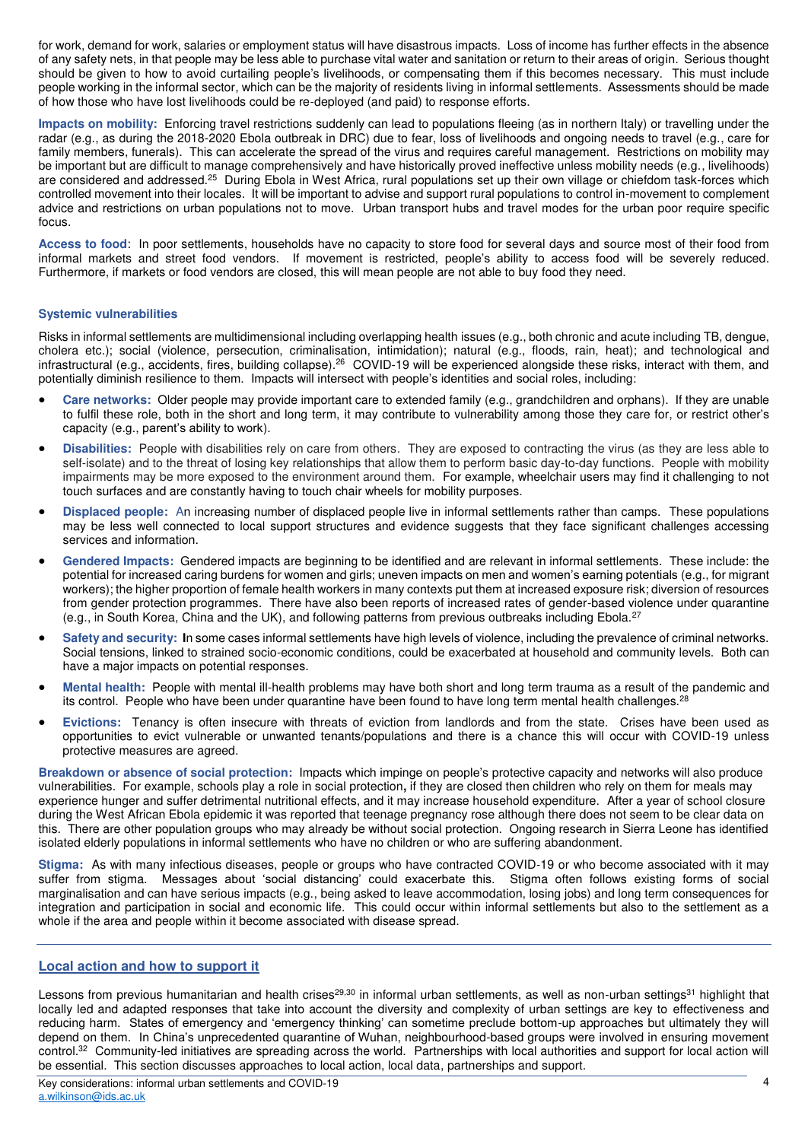for work, demand for work, salaries or employment status will have disastrous impacts. Loss of income has further effects in the absence of any safety nets, in that people may be less able to purchase vital water and sanitation or return to their areas of origin. Serious thought should be given to how to avoid curtailing people's livelihoods, or compensating them if this becomes necessary. This must include people working in the informal sector, which can be the majority of residents living in informal settlements. Assessments should be made of how those who have lost livelihoods could be re-deployed (and paid) to response efforts.

**Impacts on mobility:** Enforcing travel restrictions suddenly can lead to populations fleeing (as in northern Italy) or travelling under the radar (e.g., as during the 2018-2020 Ebola outbreak in DRC) due to fear, loss of livelihoods and ongoing needs to travel (e.g., care for family members, funerals). This can accelerate the spread of the virus and requires careful management. Restrictions on mobility may be important but are difficult to manage comprehensively and have historically proved ineffective unless mobility needs (e.g., livelihoods) are considered and addressed.<sup>25</sup> During Ebola in West Africa, rural populations set up their own village or chiefdom task-forces which controlled movement into their locales. It will be important to advise and support rural populations to control in-movement to complement advice and restrictions on urban populations not to move. Urban transport hubs and travel modes for the urban poor require specific focus.

**Access to food**: In poor settlements, households have no capacity to store food for several days and source most of their food from informal markets and street food vendors. If movement is restricted, people's ability to access food will be severely reduced. Furthermore, if markets or food vendors are closed, this will mean people are not able to buy food they need.

### **Systemic vulnerabilities**

Risks in informal settlements are multidimensional including overlapping health issues (e.g., both chronic and acute including TB, dengue, cholera etc.); social (violence, persecution, criminalisation, intimidation); natural (e.g., floods, rain, heat); and technological and infrastructural (e.g., accidents, fires, building collapse).<sup>26</sup> COVID-19 will be experienced alongside these risks, interact with them, and potentially diminish resilience to them. Impacts will intersect with people's identities and social roles, including:

- **Care networks:** Older people may provide important care to extended family (e.g., grandchildren and orphans). If they are unable to fulfil these role, both in the short and long term, it may contribute to vulnerability among those they care for, or restrict other's capacity (e.g., parent's ability to work).
- **Disabilities:** People with disabilities rely on care from others. They are exposed to contracting the virus (as they are less able to self-isolate) and to the threat of losing key relationships that allow them to perform basic day-to-day functions. People with mobility impairments may be more exposed to the environment around them. For example, wheelchair users may find it challenging to not touch surfaces and are constantly having to touch chair wheels for mobility purposes.
- **Displaced people:** An increasing number of displaced people live in informal settlements rather than camps. These populations may be less well connected to local support structures and evidence suggests that they face significant challenges accessing services and information.
- **Gendered Impacts:** Gendered impacts are beginning to be identified and are relevant in informal settlements. These include: the potential for increased caring burdens for women and girls; uneven impacts on men and women's earning potentials (e.g., for migrant workers); the higher proportion of female health workers in many contexts put them at increased exposure risk; diversion of resources from gender protection programmes. There have also been reports of increased rates of gender-based violence under quarantine (e.g., in South Korea, China and the UK), and following patterns from previous outbreaks including Ebola.<sup>27</sup>
- **Safety and security: I**n some cases informal settlements have high levels of violence, including the prevalence of criminal networks. Social tensions, linked to strained socio-economic conditions, could be exacerbated at household and community levels. Both can have a major impacts on potential responses.
- **Mental health:** People with mental ill-health problems may have both short and long term trauma as a result of the pandemic and its control. People who have been under quarantine have been found to have long term mental health challenges.<sup>28</sup>
- **Evictions:** Tenancy is often insecure with threats of eviction from landlords and from the state. Crises have been used as opportunities to evict vulnerable or unwanted tenants/populations and there is a chance this will occur with COVID-19 unless protective measures are agreed.

**Breakdown or absence of social protection:** Impacts which impinge on people's protective capacity and networks will also produce vulnerabilities. For example, schools play a role in social protection**,** if they are closed then children who rely on them for meals may experience hunger and suffer detrimental nutritional effects, and it may increase household expenditure. After a year of school closure during the West African Ebola epidemic it was reported that teenage pregnancy rose although there does not seem to be clear data on this. There are other population groups who may already be without social protection. Ongoing research in Sierra Leone has identified isolated elderly populations in informal settlements who have no children or who are suffering abandonment.

**Stigma:** As with many infectious diseases, people or groups who have contracted COVID-19 or who become associated with it may suffer from stigma. Messages about 'social distancing' could exacerbate this. Stigma often follows existing forms of social marginalisation and can have serious impacts (e.g., being asked to leave accommodation, losing jobs) and long term consequences for integration and participation in social and economic life. This could occur within informal settlements but also to the settlement as a whole if the area and people within it become associated with disease spread.

### **Local action and how to support it**

Lessons from previous humanitarian and health crises<sup>29,30</sup> in informal urban settlements, as well as non-urban settings<sup>31</sup> highlight that locally led and adapted responses that take into account the diversity and complexity of urban settings are key to effectiveness and reducing harm. States of emergency and 'emergency thinking' can sometime preclude bottom-up approaches but ultimately they will depend on them. In China's unprecedented quarantine of Wuhan, neighbourhood-based groups were involved in ensuring movement control. <sup>32</sup> Community-led initiatives are spreading across the world. Partnerships with local authorities and support for local action will be essential. This section discusses approaches to local action, local data, partnerships and support.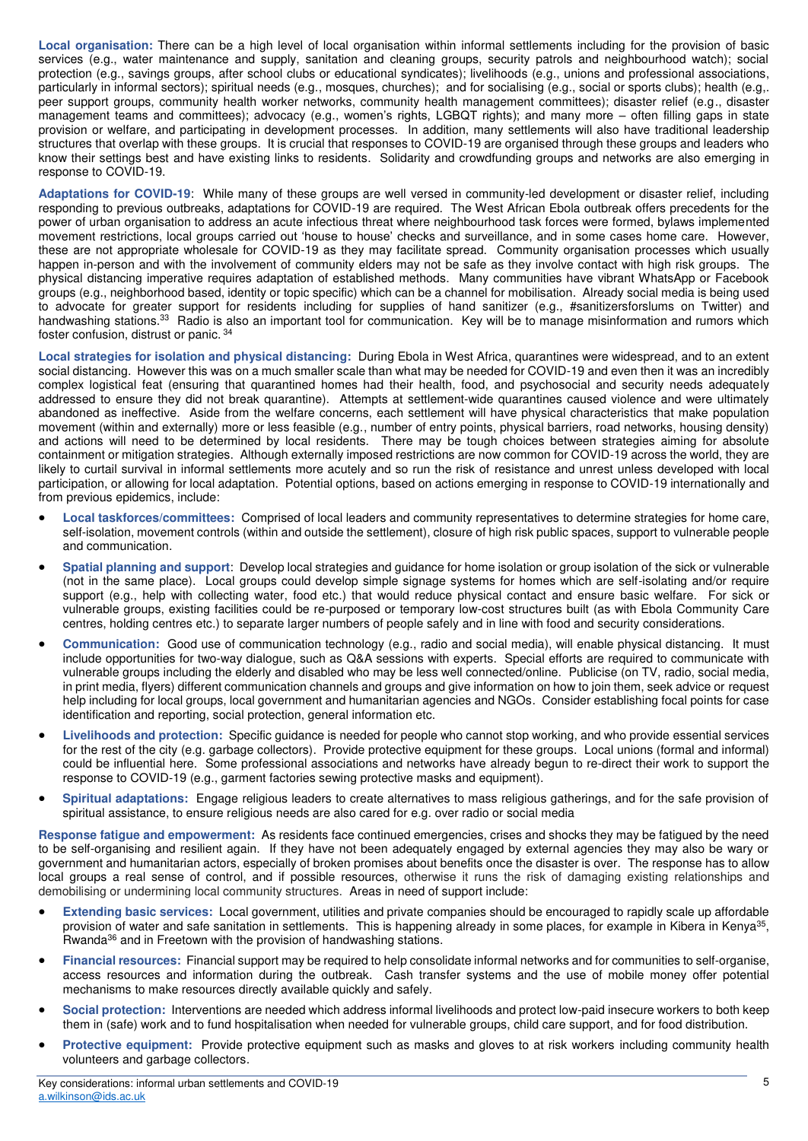**Local organisation:** There can be a high level of local organisation within informal settlements including for the provision of basic services (e.g., water maintenance and supply, sanitation and cleaning groups, security patrols and neighbourhood watch); social protection (e.g., savings groups, after school clubs or educational syndicates); livelihoods (e.g., unions and professional associations, particularly in informal sectors); spiritual needs (e.g., mosques, churches); and for socialising (e.g., social or sports clubs); health (e.g,. peer support groups, community health worker networks, community health management committees); disaster relief (e.g., disaster management teams and committees); advocacy (e.g., women's rights, LGBQT rights); and many more – often filling gaps in state provision or welfare, and participating in development processes. In addition, many settlements will also have traditional leadership structures that overlap with these groups. It is crucial that responses to COVID-19 are organised through these groups and leaders who know their settings best and have existing links to residents. Solidarity and crowdfunding groups and networks are also emerging in response to COVID-19.

**Adaptations for COVID-19**: While many of these groups are well versed in community-led development or disaster relief, including responding to previous outbreaks, adaptations for COVID-19 are required. The West African Ebola outbreak offers precedents for the power of urban organisation to address an acute infectious threat where neighbourhood task forces were formed, bylaws implemented movement restrictions, local groups carried out 'house to house' checks and surveillance, and in some cases home care. However, these are not appropriate wholesale for COVID-19 as they may facilitate spread. Community organisation processes which usually happen in-person and with the involvement of community elders may not be safe as they involve contact with high risk groups. The physical distancing imperative requires adaptation of established methods. Many communities have vibrant WhatsApp or Facebook groups (e.g., neighborhood based, identity or topic specific) which can be a channel for mobilisation. Already social media is being used to advocate for greater support for residents including for supplies of hand sanitizer (e.g., #sanitizersforslums on Twitter) and handwashing stations.<sup>33</sup> Radio is also an important tool for communication. Key will be to manage misinformation and rumors which foster confusion, distrust or panic. <sup>34</sup>

**Local strategies for isolation and physical distancing:** During Ebola in West Africa, quarantines were widespread, and to an extent social distancing. However this was on a much smaller scale than what may be needed for COVID-19 and even then it was an incredibly complex logistical feat (ensuring that quarantined homes had their health, food, and psychosocial and security needs adequately addressed to ensure they did not break quarantine). Attempts at settlement-wide quarantines caused violence and were ultimately abandoned as ineffective. Aside from the welfare concerns, each settlement will have physical characteristics that make population movement (within and externally) more or less feasible (e.g., number of entry points, physical barriers, road networks, housing density) and actions will need to be determined by local residents. There may be tough choices between strategies aiming for absolute containment or mitigation strategies. Although externally imposed restrictions are now common for COVID-19 across the world, they are likely to curtail survival in informal settlements more acutely and so run the risk of resistance and unrest unless developed with local participation, or allowing for local adaptation. Potential options, based on actions emerging in response to COVID-19 internationally and from previous epidemics, include:

- **Local taskforces/committees:** Comprised of local leaders and community representatives to determine strategies for home care, self-isolation, movement controls (within and outside the settlement), closure of high risk public spaces, support to vulnerable people and communication.
- **Spatial planning and support**: Develop local strategies and guidance for home isolation or group isolation of the sick or vulnerable (not in the same place). Local groups could develop simple signage systems for homes which are self-isolating and/or require support (e.g., help with collecting water, food etc.) that would reduce physical contact and ensure basic welfare. For sick or vulnerable groups, existing facilities could be re-purposed or temporary low-cost structures built (as with Ebola Community Care centres, holding centres etc.) to separate larger numbers of people safely and in line with food and security considerations.
- **Communication:** Good use of communication technology (e.g., radio and social media), will enable physical distancing. It must include opportunities for two-way dialogue, such as Q&A sessions with experts. Special efforts are required to communicate with vulnerable groups including the elderly and disabled who may be less well connected/online. Publicise (on TV, radio, social media, in print media, flyers) different communication channels and groups and give information on how to join them, seek advice or request help including for local groups, local government and humanitarian agencies and NGOs. Consider establishing focal points for case identification and reporting, social protection, general information etc.
- **Livelihoods and protection:** Specific guidance is needed for people who cannot stop working, and who provide essential services for the rest of the city (e.g. garbage collectors). Provide protective equipment for these groups. Local unions (formal and informal) could be influential here. Some professional associations and networks have already begun to re-direct their work to support the response to COVID-19 (e.g., garment factories sewing protective masks and equipment).
- **Spiritual adaptations:** Engage religious leaders to create alternatives to mass religious gatherings, and for the safe provision of spiritual assistance, to ensure religious needs are also cared for e.g. over radio or social media

**Response fatigue and empowerment:** As residents face continued emergencies, crises and shocks they may be fatigued by the need to be self-organising and resilient again. If they have not been adequately engaged by external agencies they may also be wary or government and humanitarian actors, especially of broken promises about benefits once the disaster is over. The response has to allow local groups a real sense of control, and if possible resources, otherwise it runs the risk of damaging existing relationships and demobilising or undermining local community structures. Areas in need of support include:

- **Extending basic services:** Local government, utilities and private companies should be encouraged to rapidly scale up affordable provision of water and safe sanitation in settlements. This is happening already in some places, for example in Kibera in Kenya<sup>35</sup>, Rwanda<sup>36</sup> and in Freetown with the provision of handwashing stations.
- **Financial resources:** Financial support may be required to help consolidate informal networks and for communities to self-organise, access resources and information during the outbreak. Cash transfer systems and the use of mobile money offer potential mechanisms to make resources directly available quickly and safely.
- **Social protection:** Interventions are needed which address informal livelihoods and protect low-paid insecure workers to both keep them in (safe) work and to fund hospitalisation when needed for vulnerable groups, child care support, and for food distribution.
- **Protective equipment:** Provide protective equipment such as masks and gloves to at risk workers including community health volunteers and garbage collectors.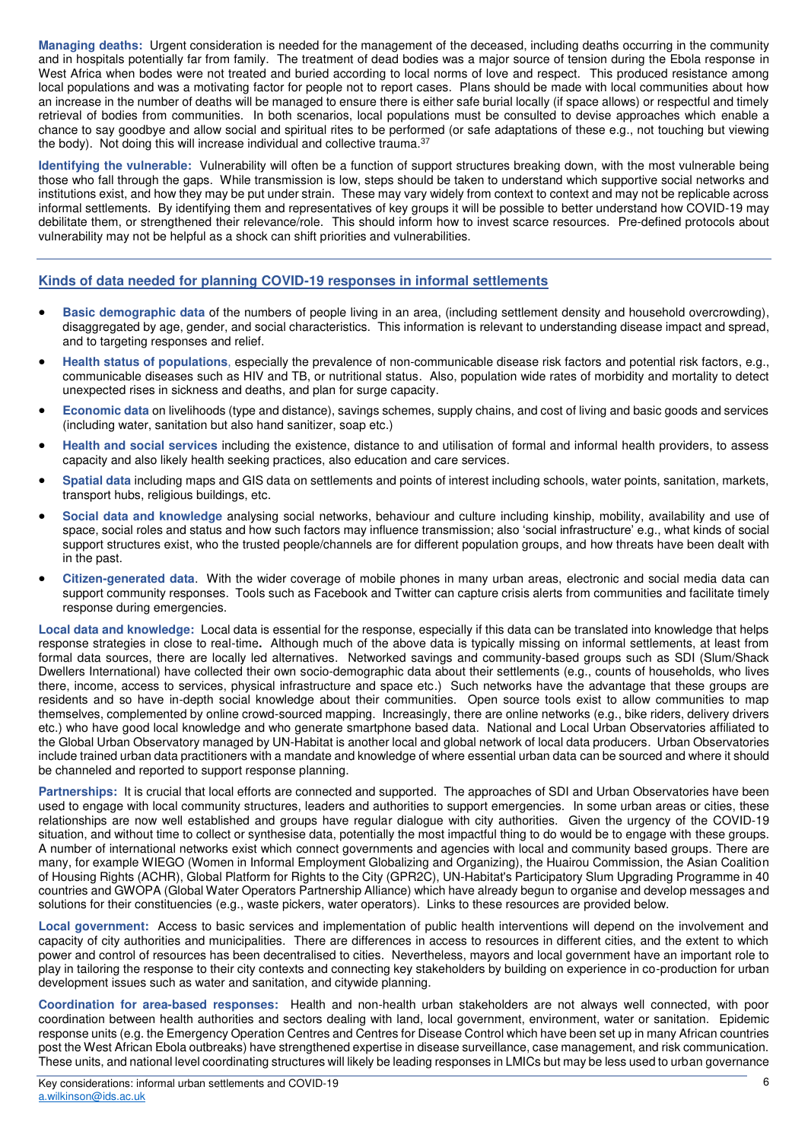**Managing deaths:** Urgent consideration is needed for the management of the deceased, including deaths occurring in the community and in hospitals potentially far from family. The treatment of dead bodies was a major source of tension during the Ebola response in West Africa when bodes were not treated and buried according to local norms of love and respect. This produced resistance among local populations and was a motivating factor for people not to report cases. Plans should be made with local communities about how an increase in the number of deaths will be managed to ensure there is either safe burial locally (if space allows) or respectful and timely retrieval of bodies from communities. In both scenarios, local populations must be consulted to devise approaches which enable a chance to say goodbye and allow social and spiritual rites to be performed (or safe adaptations of these e.g., not touching but viewing the body). Not doing this will increase individual and collective trauma.<sup>37</sup>

**Identifying the vulnerable:** Vulnerability will often be a function of support structures breaking down, with the most vulnerable being those who fall through the gaps. While transmission is low, steps should be taken to understand which supportive social networks and institutions exist, and how they may be put under strain. These may vary widely from context to context and may not be replicable across informal settlements. By identifying them and representatives of key groups it will be possible to better understand how COVID-19 may debilitate them, or strengthened their relevance/role. This should inform how to invest scarce resources. Pre-defined protocols about vulnerability may not be helpful as a shock can shift priorities and vulnerabilities.

## **Kinds of data needed for planning COVID-19 responses in informal settlements**

- **Basic demographic data** of the numbers of people living in an area, (including settlement density and household overcrowding), disaggregated by age, gender, and social characteristics. This information is relevant to understanding disease impact and spread, and to targeting responses and relief.
- **Health status of populations**, especially the prevalence of non-communicable disease risk factors and potential risk factors, e.g., communicable diseases such as HIV and TB, or nutritional status. Also, population wide rates of morbidity and mortality to detect unexpected rises in sickness and deaths, and plan for surge capacity.
- **Economic data** on livelihoods (type and distance), savings schemes, supply chains, and cost of living and basic goods and services (including water, sanitation but also hand sanitizer, soap etc.)
- **Health and social services** including the existence, distance to and utilisation of formal and informal health providers, to assess capacity and also likely health seeking practices, also education and care services.
- **Spatial data** including maps and GIS data on settlements and points of interest including schools, water points, sanitation, markets, transport hubs, religious buildings, etc.
- **Social data and knowledge** analysing social networks, behaviour and culture including kinship, mobility, availability and use of space, social roles and status and how such factors may influence transmission; also 'social infrastructure' e.g., what kinds of social support structures exist, who the trusted people/channels are for different population groups, and how threats have been dealt with in the past.
- **Citizen-generated data**. With the wider coverage of mobile phones in many urban areas, electronic and social media data can support community responses. Tools such as Facebook and Twitter can capture crisis alerts from communities and facilitate timely response during emergencies.

**Local data and knowledge:** Local data is essential for the response, especially if this data can be translated into knowledge that helps response strategies in close to real-time**.** Although much of the above data is typically missing on informal settlements, at least from formal data sources, there are locally led alternatives. Networked savings and community-based groups such as SDI (Slum/Shack Dwellers International) have collected their own socio-demographic data about their settlements (e.g., counts of households, who lives there, income, access to services, physical infrastructure and space etc.) Such networks have the advantage that these groups are residents and so have in-depth social knowledge about their communities. Open source tools exist to allow communities to map themselves, complemented by online crowd-sourced mapping. Increasingly, there are online networks (e.g., bike riders, delivery drivers etc.) who have good local knowledge and who generate smartphone based data. National and Local Urban Observatories affiliated to the Global Urban Observatory managed by UN-Habitat is another local and global network of local data producers. Urban Observatories include trained urban data practitioners with a mandate and knowledge of where essential urban data can be sourced and where it should be channeled and reported to support response planning.

**Partnerships:** It is crucial that local efforts are connected and supported. The approaches of SDI and Urban Observatories have been used to engage with local community structures, leaders and authorities to support emergencies. In some urban areas or cities, these relationships are now well established and groups have regular dialogue with city authorities. Given the urgency of the COVID-19 situation, and without time to collect or synthesise data, potentially the most impactful thing to do would be to engage with these groups. A number of international networks exist which connect governments and agencies with local and community based groups. There are many, for example WIEGO (Women in Informal Employment Globalizing and Organizing), the Huairou Commission, the Asian Coalition of Housing Rights (ACHR), Global Platform for Rights to the City (GPR2C), UN-Habitat's Participatory Slum Upgrading Programme in 40 countries and GWOPA (Global Water Operators Partnership Alliance) which have already begun to organise and develop messages and solutions for their constituencies (e.g., waste pickers, water operators). Links to these resources are provided below.

**Local government:** Access to basic services and implementation of public health interventions will depend on the involvement and capacity of city authorities and municipalities. There are differences in access to resources in different cities, and the extent to which power and control of resources has been decentralised to cities. Nevertheless, mayors and local government have an important role to play in tailoring the response to their city contexts and connecting key stakeholders by building on experience in co-production for urban development issues such as water and sanitation, and citywide planning.

**Coordination for area-based responses:** Health and non-health urban stakeholders are not always well connected, with poor coordination between health authorities and sectors dealing with land, local government, environment, water or sanitation. Epidemic response units (e.g. the Emergency Operation Centres and Centres for Disease Control which have been set up in many African countries post the West African Ebola outbreaks) have strengthened expertise in disease surveillance, case management, and risk communication. These units, and national level coordinating structures will likely be leading responses in LMICs but may be less used to urban governance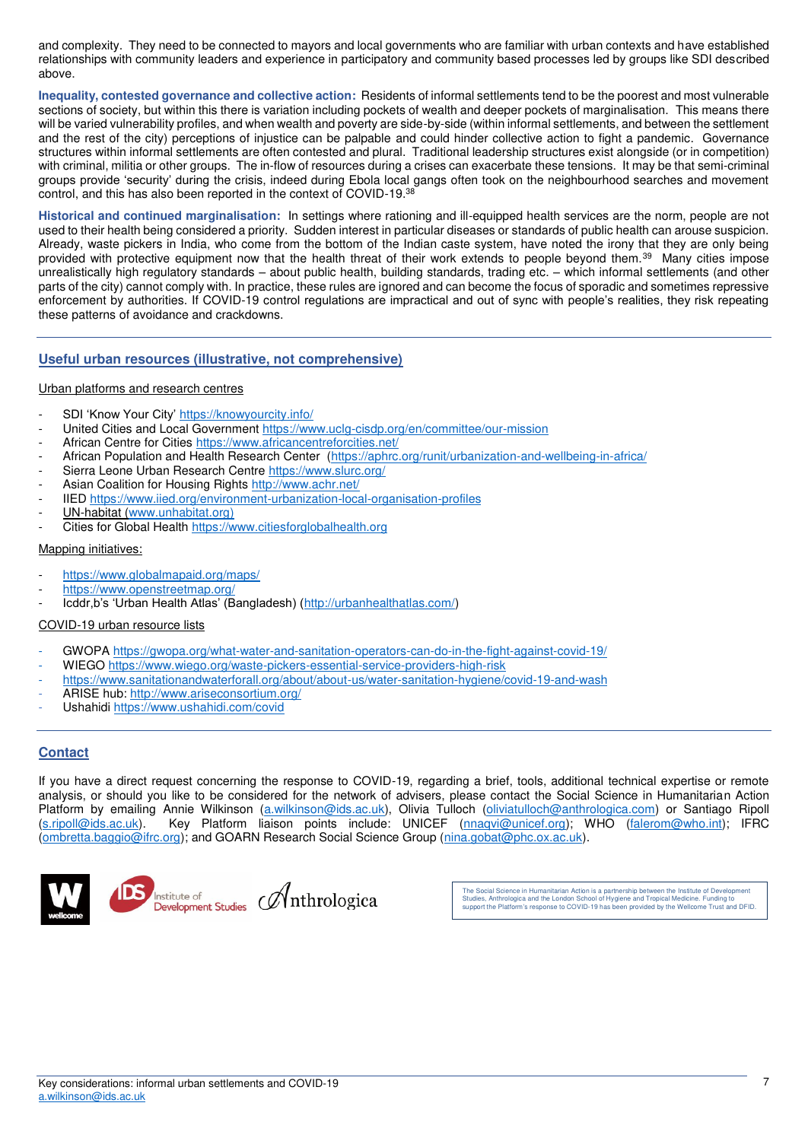and complexity. They need to be connected to mayors and local governments who are familiar with urban contexts and have established relationships with community leaders and experience in participatory and community based processes led by groups like SDI described above.

**Inequality, contested governance and collective action:** Residents of informal settlements tend to be the poorest and most vulnerable sections of society, but within this there is variation including pockets of wealth and deeper pockets of marginalisation. This means there will be varied vulnerability profiles, and when wealth and poverty are side-by-side (within informal settlements, and between the settlement and the rest of the city) perceptions of injustice can be palpable and could hinder collective action to fight a pandemic. Governance structures within informal settlements are often contested and plural. Traditional leadership structures exist alongside (or in competition) with criminal, militia or other groups. The in-flow of resources during a crises can exacerbate these tensions. It may be that semi-criminal groups provide 'security' during the crisis, indeed during Ebola local gangs often took on the neighbourhood searches and movement control, and this has also been reported in the context of COVID-19.<sup>38</sup>

**Historical and continued marginalisation:** In settings where rationing and ill-equipped health services are the norm, people are not used to their health being considered a priority. Sudden interest in particular diseases or standards of public health can arouse suspicion. Already, waste pickers in India, who come from the bottom of the Indian caste system, have noted the irony that they are only being provided with protective equipment now that the health threat of their work extends to people beyond them.<sup>39</sup> Many cities impose unrealistically high regulatory standards – about public health, building standards, trading etc. – which informal settlements (and other parts of the city) cannot comply with. In practice, these rules are ignored and can become the focus of sporadic and sometimes repressive enforcement by authorities. If COVID-19 control regulations are impractical and out of sync with people's realities, they risk repeating these patterns of avoidance and crackdowns.

## **Useful urban resources (illustrative, not comprehensive)**

#### Urban platforms and research centres

- SDI 'Know Your City' <https://knowyourcity.info/>
- United Cities and Local Government https://www.uclg-cisdp.org/en/committee/our-mission
- African Centre for Cities https://www.africancentreforcities.net/
- African Population and Health Research Center [\(https://aphrc.org/runit/urbanization-and-wellbeing-in-africa/](https://aphrc.org/runit/urbanization-and-wellbeing-in-africa/)
- Sierra Leone Urban Research Centre https://www.slurc.org/
- Asian Coalition for Housing Rights http://www.achr.net/
- IIED<https://www.iied.org/environment-urbanization-local-organisation-profiles>
- UN-habitat [\(www.unhabitat.org\)](http://www.unhabitat.org/)
- Cities for Global Health https://www.citiesforglobalhealth.org

#### Mapping initiatives:

- <https://www.globalmapaid.org/maps/>
- <https://www.openstreetmap.org/>
- Icddr,b's 'Urban Health Atlas' (Bangladesh) ([http://urbanhealthatlas.com/\)](http://urbanhealthatlas.com/)

### COVID-19 urban resource lists

- GWOPA https://gwopa.org/what-water-and-sanitation-operators-can-do-in-the-fight-against-covid-19/
- WIEGO<https://www.wiego.org/waste-pickers-essential-service-providers-high-risk>
- https://www.sanitationandwaterforall.org/about/about-us/water-sanitation-hygiene/covid-19-and-wash
- ARISE hub:<http://www.ariseconsortium.org/>
- Ushahidi<https://www.ushahidi.com/covid>

# **Contact**

If you have a direct request concerning the response to COVID-19, regarding a brief, tools, additional technical expertise or remote analysis, or should you like to be considered for the network of advisers, please contact the Social Science in Humanitarian Action Platform by emailing Annie Wilkinson [\(a.wilkinson@ids.ac.uk\)](mailto:a.wilkinson@ids.ac.uk), Olivia Tulloch [\(oliviatulloch@anthrologica.com\)](mailto:oliviatulloch@anthrologica.com) or Santiago Ripoll [\(s.ripoll@ids.ac.uk\)](mailto:s.ripoll@ids.ac.uk). Key Platform liaison points include: UNICEF [\(nnaqvi@unicef.org\)](mailto:nnaqvi@unicef.org); WHO [\(falerom@who.int\)](mailto:falerom@who.int); IFRC [\(ombretta.baggio@ifrc.org\)](mailto:ombretta.baggio@ifrc.org); and GOARN Research Social Science Group [\(nina.gobat@phc.ox.ac.uk\)](mailto:nina.gobat@phc.ox.ac.uk).



The Social Science in Humanitarian Action is a partnership between the Institute of Development Studies, Anthrologica and the London School of Hygiene and Tropical Medicine. Funding to support the Platform's response to COVID-19 has been provided by the Wellcome Trust and DFID.